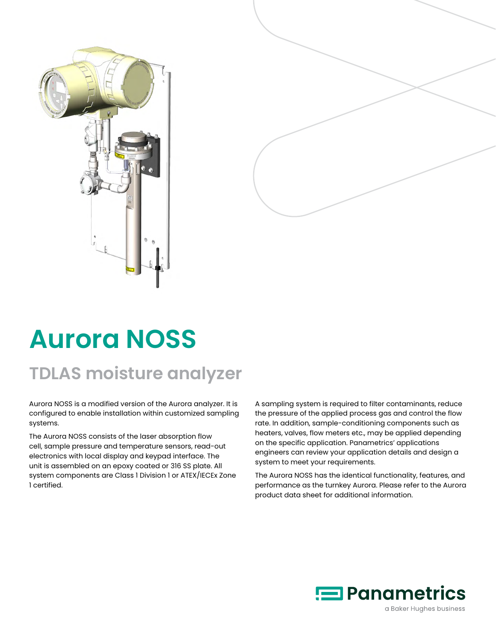



# **Aurora NOSS**

## **TDLAS moisture analyzer**

Aurora NOSS is a modified version of the Aurora analyzer. It is configured to enable installation within customized sampling systems.

The Aurora NOSS consists of the laser absorption flow cell, sample pressure and temperature sensors, read-out electronics with local display and keypad interface. The unit is assembled on an epoxy coated or 316 SS plate. All system components are Class 1 Division 1 or ATEX/IECEx Zone 1 certified.

A sampling system is required to filter contaminants, reduce the pressure of the applied process gas and control the flow rate. In addition, sample-conditioning components such as heaters, valves, flow meters etc., may be applied depending on the specific application. Panametrics' applications engineers can review your application details and design a system to meet your requirements.

The Aurora NOSS has the identical functionality, features, and performance as the turnkey Aurora. Please refer to the Aurora product data sheet for additional information.

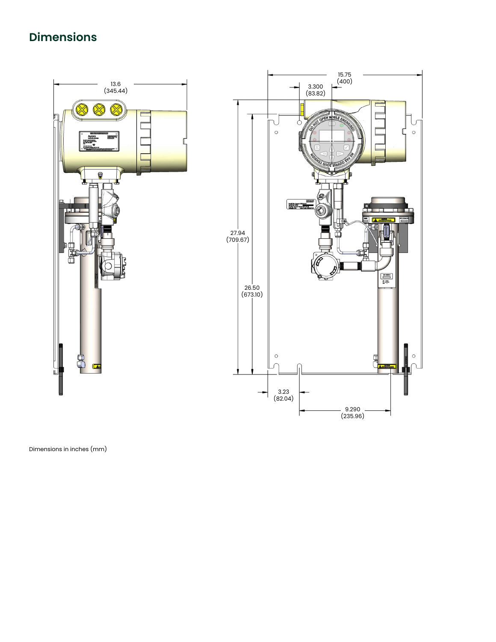## **Dimensions**



Dimensions in inches (mm)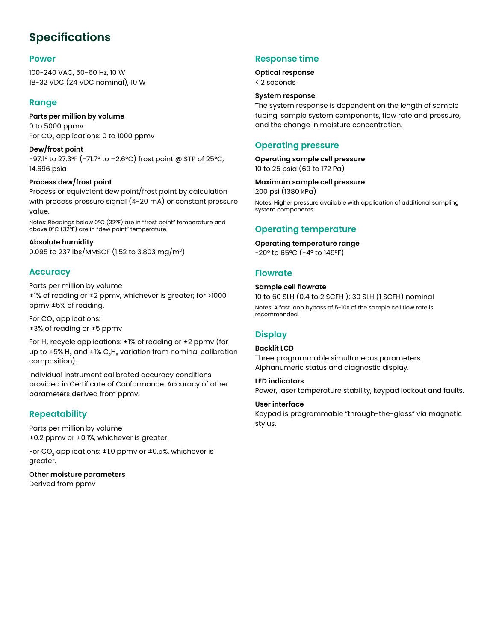### **Specifications**

#### **Power**

100-240 VAC, 50-60 Hz, 10 W 18-32 VDC (24 VDC nominal), 10 W

#### **Range**

**Parts per million by volume** 0 to 5000 ppmv For CO<sub>2</sub> applications: 0 to 1000 ppmv

**Dew/frost point**  -97.1° to 27.3°F (-71.7° to –2.6°C) frost point @ STP of 25°C, 14.696 psia

#### **Process dew/frost point**

Process or equivalent dew point/frost point by calculation with process pressure signal (4-20 mA) or constant pressure value.

Notes: Readings below 0°C (32°F) are in "frost point" temperature and above 0°C (32°F) are in "dew point" temperature.

#### **Absolute humidity**

0.095 to 237 lbs/MMSCF (1.52 to 3,803 mg/m3)

#### **Accuracy**

Parts per million by volume ±1% of reading or ±2 ppmv, whichever is greater; for >1000 ppmv ±5% of reading.

For CO<sub>2</sub> applications: ±3% of reading or ±5 ppmv

For H<sub>2</sub> recycle applications:  $\pm$ 1% of reading or  $\pm$ 2 ppmv (for up to  $\pm 5\%$  H<sub>2</sub> and  $\pm 1\%$  C<sub>2</sub>H<sub>6</sub> variation from nominal calibration composition).

Individual instrument calibrated accuracy conditions provided in Certificate of Conformance. Accuracy of other parameters derived from ppmv.

#### **Repeatability**

Parts per million by volume ±0.2 ppmv or ±0.1%, whichever is greater.

For CO<sub>2</sub> applications:  $\pm 1.0$  ppmv or  $\pm 0.5$ %, whichever is greater.

**Other moisture parameters**  Derived from ppmv

#### **Response time**

#### **Optical response**

< 2 seconds

#### **System response**

The system response is dependent on the length of sample tubing, sample system components, flow rate and pressure, and the change in moisture concentration.

#### **Operating pressure**

**Operating sample cell pressure** 

10 to 25 psia (69 to 172 Pa)

#### **Maximum sample cell pressure**

200 psi (1380 kPa)

Notes: Higher pressure available with application of additional sampling system components.

#### **Operating temperature**

#### **Operating temperature range**

-20° to 65°C (-4° to 149°F)

#### **Flowrate**

#### **Sample cell flowrate**

10 to 60 SLH (0.4 to 2 SCFH ); 30 SLH (1 SCFH) nominal

Notes: A fast loop bypass of 5-10x of the sample cell flow rate is recommended.

#### **Display**

#### **Backlit LCD**

Three programmable simultaneous parameters. Alphanumeric status and diagnostic display.

#### **LED indicators**

Power, laser temperature stability, keypad lockout and faults.

#### **User interface**

Keypad is programmable "through-the-glass" via magnetic stylus.